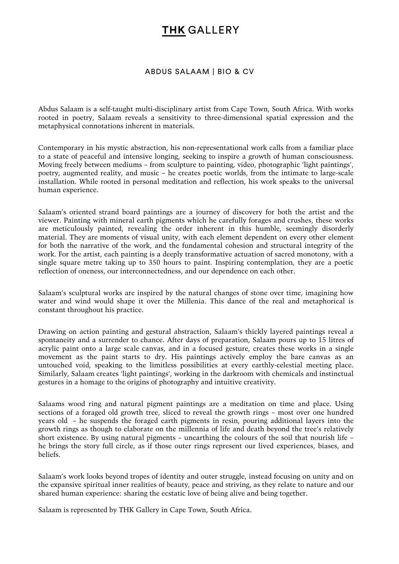## **THK GALLERY**

#### ABDUS SALAAM | BIO & CV

Abdus Salaam is a self-taught multi-disciplinary artist from Cape Town, South Africa. With works rooted in poetry, Salaam reveals a sensitivity to three-dimensional spatial expression and the metaphysical connotations inherent in materials.

Contemporary in his mystic abstraction, his non-representational work calls from a familiar place to a state of peaceful and intensive longing, seeking to inspire a growth of human consciousness. Moving freely between mediums – from sculpture to painting, video, photographic 'light paintings', poetry, augmented reality, and music – he creates poetic worlds, from the intimate to large-scale installation. While rooted in personal meditation and reflection, his work speaks to the universal human experience.

Salaam's oriented strand board paintings are a journey of discovery for both the artist and the viewer. Painting with mineral earth pigments which he carefully forages and crushes, these works are meticulously painted, revealing the order inherent in this humble, seemingly disorderly material. They are moments of visual unity, with each element dependent on every other element for both the narrative of the work, and the fundamental cohesion and structural integrity of the work. For the artist, each painting is a deeply transformative actuation of sacred monotony, with a single square metre taking up to 350 hours to paint. Inspiring contemplation, they are a poetic reflection of oneness, our interconnectedness, and our dependence on each other.

Salaam's sculptural works are inspired by the natural changes of stone over time, imagining how water and wind would shape it over the Millenia. This dance of the real and metaphorical is constant throughout his practice.

Drawing on action painting and gestural abstraction, Salaam's thickly layered paintings reveal a spontaneity and a surrender to chance. After days of preparation, Salaam pours up to 15 litres of acrylic paint onto a large scale canvas, and in a focused gesture, creates these works in a single movement as the paint starts to dry. His paintings actively employ the bare canvas as an untouched void, speaking to the limitless possibilities at every earthly-celestial meeting place. Similarly, Salaam creates 'light paintings', working in the darkroom with chemicals and instinctual gestures in a homage to the origins of photography and intuitive creativity.

Salaams wood ring and natural pigment paintings are a meditation on time and place. Using sections of a foraged old growth tree, sliced to reveal the growth rings – most over one hundred years old – he suspends the foraged earth pigments in resin, pouring additional layers into the growth rings as though to elaborate on the millennia of life and death beyond the tree's relatively short existence. By using natural pigments – unearthing the colours of the soil that nourish life – he brings the story full circle, as if those outer rings represent our lived experiences, biases, and beliefs.

Salaam's work looks beyond tropes of identity and outer struggle, instead focusing on unity and on the expansive spiritual inner realities of beauty, peace and striving, as they relate to nature and our shared human experience: sharing the ecstatic love of being alive and being together.

Salaam is represented by THK Gallery in Cape Town, South Africa.